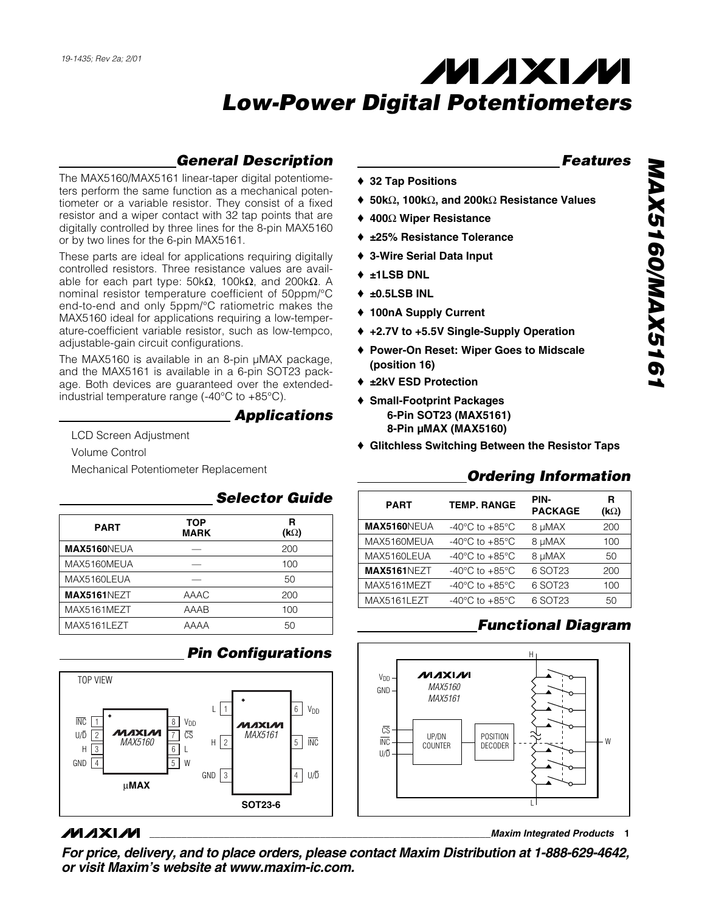### *General Description*

The MAX5160/MAX5161 linear-taper digital potentiometers perform the same function as a mechanical potentiometer or a variable resistor. They consist of a fixed resistor and a wiper contact with 32 tap points that are digitally controlled by three lines for the 8-pin MAX5160 or by two lines for the 6-pin MAX5161.

These parts are ideal for applications requiring digitally controlled resistors. Three resistance values are available for each part type: 50kΩ, 100kΩ, and 200kΩ. A nominal resistor temperature coefficient of 50ppm/°C end-to-end and only 5ppm/°C ratiometric makes the MAX5160 ideal for applications requiring a low-temperature-coefficient variable resistor, such as low-tempco, adjustable-gain circuit configurations.

The MAX5160 is available in an 8-pin µMAX package, and the MAX5161 is available in a 6-pin SOT23 package. Both devices are guaranteed over the extendedindustrial temperature range (-40°C to +85°C).

#### *Applications*

LCD Screen Adjustment

Volume Control

Mechanical Potentiometer Replacement

#### *Selector Guide*

| <b>PART</b>        | TOP<br><b>MARK</b> | R<br>$(k\Omega)$ |
|--------------------|--------------------|------------------|
| <b>MAX5160NEUA</b> |                    | 200              |
| MAX5160MEUA        |                    | 100              |
| MAX5160LEUA        |                    | 50               |
| MAX5161NEZT        | AAAC               | 200              |
| MAX5161MEZT        | AAAB               | 100              |
| MAX5161LEZT        | AAAA               | 50               |



### **MAXM**

- ♦ **50k**Ω**, 100k**Ω**, and 200k**Ω **Resistance Values**
- ♦ **400**Ω **Wiper Resistance**

♦ **32 Tap Positions**

- ♦ **±25% Resistance Tolerance**
- ♦ **3-Wire Serial Data Input**
- ♦ **±1LSB DNL**
- ♦ **±0.5LSB INL**
- ♦ **100nA Supply Current**
- ♦ **+2.7V to +5.5V Single-Supply Operation**
- ♦ **Power-On Reset: Wiper Goes to Midscale (position 16)**
- ♦ **±2kV ESD Protection**
- ♦ **Small-Footprint Packages 6-Pin SOT23 (MAX5161) 8-Pin µMAX (MAX5160)**
- ♦ **Glitchless Switching Between the Resistor Taps**

#### *Ordering Information*

| <b>PART</b>        | <b>TEMP. RANGE</b>                   | PIN-<br><b>PACKAGE</b> | R<br>$(k\Omega)$ |
|--------------------|--------------------------------------|------------------------|------------------|
| MAX5160NEUA        | -40 $^{\circ}$ C to +85 $^{\circ}$ C | 8 µMAX                 | 200              |
| MAX5160MEUA        | -40 $^{\circ}$ C to +85 $^{\circ}$ C | 8 µMAX                 | 100              |
| MAX5160LEUA        | -40 $^{\circ}$ C to +85 $^{\circ}$ C | 8 µMAX                 | 50               |
| <b>MAX5161NEZT</b> | -40 $^{\circ}$ C to +85 $^{\circ}$ C | 6 SOT23                | 200              |
| MAX5161MEZT        | $-40^{\circ}$ C to $+85^{\circ}$ C   | 6 SOT23                | 100              |
| MAX5161LEZT        | -40 $^{\circ}$ C to +85 $^{\circ}$ C | 6 SOT23                | 50               |

### *Functional Diagram*



**\_\_\_\_\_\_\_\_\_\_\_\_\_\_\_\_\_\_\_\_\_\_\_\_\_\_\_\_\_\_\_\_\_\_\_\_\_\_\_\_\_\_\_\_\_\_\_\_\_\_\_\_\_\_\_\_\_\_\_\_\_\_\_\_***Maxim Integrated Products* **1**

*Features*

*For price, delivery, and to place orders, please contact Maxim Distribution at 1-888-629-4642, or visit Maxim's website at www.maxim-ic.com.*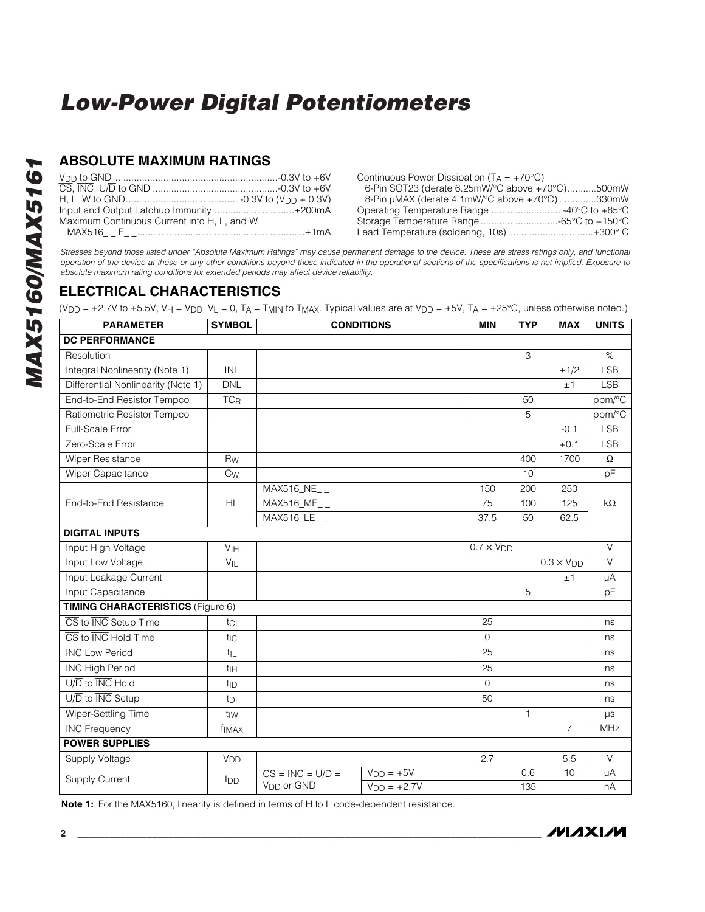#### **ABSOLUTE MAXIMUM RATINGS**

|                                             | Continuous Power Dissipation ( $T_A = +70^{\circ}C$ ) |
|---------------------------------------------|-------------------------------------------------------|
|                                             | 6-Pin SOT23 (derate 6.25mW/°C above +70°C)500mW       |
|                                             | 8-Pin µMAX (derate 4.1mW/°C above +70°C)330mW         |
| Input and Output Latchup Immunity ±200mA    |                                                       |
| Maximum Continuous Current into H, L, and W |                                                       |
|                                             | Lead Temperature (soldering, 10s) +300° C             |

*Stresses beyond those listed under "Absolute Maximum Ratings" may cause permanent damage to the device. These are stress ratings only, and functional operation of the device at these or any other conditions beyond those indicated in the operational sections of the specifications is not implied. Exposure to absolute maximum rating conditions for extended periods may affect device reliability.*

### **ELECTRICAL CHARACTERISTICS**

(V<sub>DD</sub> = +2.7V to +5.5V, V<sub>H</sub> = V<sub>DD</sub>, V<sub>L</sub> = 0, T<sub>A</sub> = T<sub>MIN</sub> to T<sub>MAX</sub>. Typical values are at V<sub>DD</sub> = +5V, T<sub>A</sub> = +25°C, unless otherwise noted.)

| <b>PARAMETER</b>                                            | <b>SYMBOL</b>         |                                                    | <b>CONDITIONS</b> | <b>MIN</b>          | <b>TYP</b> | <b>MAX</b>        | <b>UNITS</b> |
|-------------------------------------------------------------|-----------------------|----------------------------------------------------|-------------------|---------------------|------------|-------------------|--------------|
| <b>DC PERFORMANCE</b>                                       |                       |                                                    |                   |                     |            |                   |              |
| Resolution                                                  |                       |                                                    |                   |                     | 3          |                   | $\%$         |
| Integral Nonlinearity (Note 1)                              | <b>INL</b>            |                                                    |                   |                     |            | ±1/2              | <b>LSB</b>   |
| Differential Nonlinearity (Note 1)                          | <b>DNL</b>            |                                                    |                   |                     |            | ±1                | <b>LSB</b>   |
| End-to-End Resistor Tempco                                  | <b>TC<sub>R</sub></b> |                                                    |                   |                     | 50         |                   | ppm/°C       |
| Ratiometric Resistor Tempco                                 |                       |                                                    |                   |                     | 5          |                   | ppm/°C       |
| Full-Scale Error                                            |                       |                                                    |                   |                     |            | $-0.1$            | <b>LSB</b>   |
| Zero-Scale Error                                            |                       |                                                    |                   |                     |            | $+0.1$            | <b>LSB</b>   |
| Wiper Resistance                                            | <b>Rw</b>             |                                                    |                   |                     | 400        | 1700              | $\Omega$     |
| Wiper Capacitance                                           | $C_{W}$               |                                                    |                   |                     | 10         |                   | pF           |
|                                                             |                       | MAX516_NE__                                        |                   | 150                 | 200        | 250               |              |
| End-to-End Resistance                                       | <b>HL</b>             | MAX516_ME__                                        |                   | 75                  | 100        | 125               | $k\Omega$    |
|                                                             |                       | $\overline{\text{MAX516}}$ LE__                    |                   | 37.5                | 50         | 62.5              |              |
| <b>DIGITAL INPUTS</b>                                       |                       |                                                    |                   |                     |            |                   |              |
| Input High Voltage                                          | V <sub>IH</sub>       |                                                    |                   | $0.7 \times V_{DD}$ |            |                   | $\vee$       |
| Input Low Voltage                                           | VIL                   |                                                    |                   |                     |            | $0.3 \times V$ DD | $\vee$       |
| Input Leakage Current                                       |                       |                                                    |                   |                     |            | ±1                | μA           |
| Input Capacitance                                           |                       |                                                    |                   |                     | 5          |                   | pF           |
| <b>TIMING CHARACTERISTICS (Figure 6)</b>                    |                       |                                                    |                   |                     |            |                   |              |
| CS to INC Setup Time                                        | tci                   |                                                    |                   | 25                  |            |                   | ns           |
| $\overline{\text{CS}}$ to $\overline{\text{INC}}$ Hold Time | t <sub>IC</sub>       |                                                    |                   | $\Omega$            |            |                   | ns           |
| <b>INC</b> Low Period                                       | t <sub>IL</sub>       |                                                    |                   | 25                  |            |                   | ns           |
| <b>INC</b> High Period                                      | t <sub>IH</sub>       |                                                    |                   | 25                  |            |                   | ns           |
| U/D to INC Hold                                             | t <sub>ID</sub>       |                                                    |                   | $\Omega$            |            |                   | ns           |
| $U/\overline{D}$ to $\overline{INC}$ Setup                  | t <sub>DI</sub>       |                                                    |                   | 50                  |            |                   | ns           |
| Wiper-Settling Time                                         | tiw                   |                                                    |                   |                     | 1          |                   | $\mu s$      |
| <b>INC</b> Frequency                                        | f <sub>IMAX</sub>     |                                                    |                   |                     |            | $\overline{7}$    | MHz          |
| <b>POWER SUPPLIES</b>                                       |                       |                                                    |                   |                     |            |                   |              |
| Supply Voltage                                              | V <sub>DD</sub>       |                                                    |                   | 2.7                 |            | 5.5               | $\vee$       |
|                                                             |                       | $\overline{CS} = \overline{INC} = \overline{UD} =$ | $VDD = +5V$       |                     | 0.6        | 10                | μA           |
| <b>Supply Current</b>                                       | IDD                   | V <sub>DD</sub> or GND                             | $VDD = +2.7V$     |                     | 135        |                   | nA           |

**Note 1:** For the MAX5160, linearity is defined in terms of H to L code-dependent resistance.

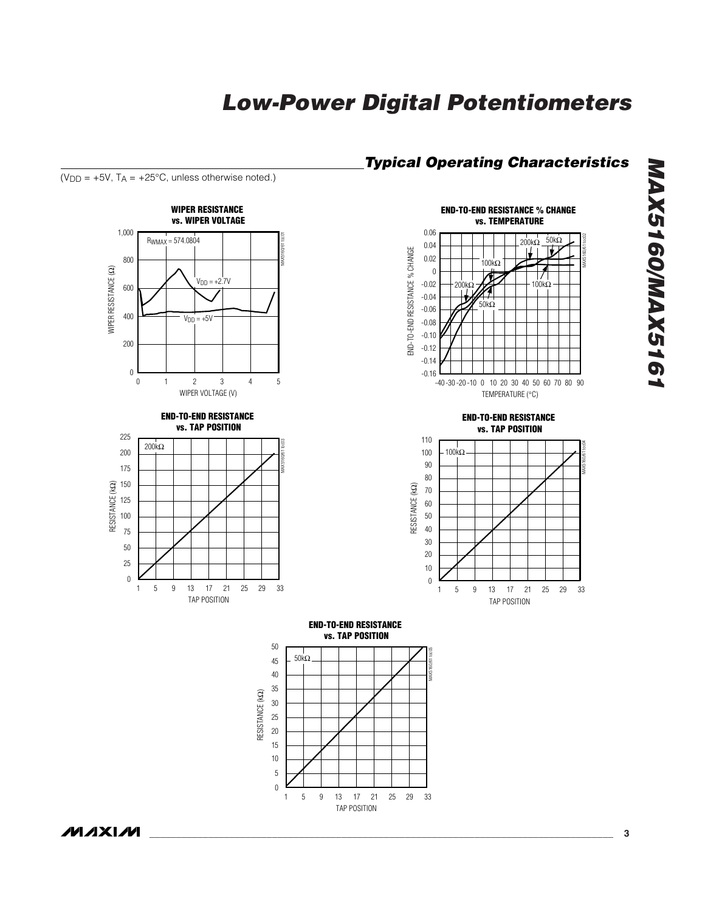



TAP POSITION

( $V_{DD}$  = +5V,  $T_A$  = +25°C, unless otherwise noted.)

**MAXIM** 

*\_\_\_\_\_\_\_\_\_\_\_\_\_\_\_\_\_\_\_\_\_\_\_\_\_\_\_\_\_\_\_\_\_\_\_\_\_\_\_\_\_\_\_\_\_\_\_\_\_\_\_\_\_\_\_\_\_\_\_\_\_\_\_\_\_\_\_\_\_\_\_\_\_\_\_\_\_\_\_\_\_\_\_\_\_\_\_* **3**

*MAX5160/MAX5161*

MAX5160/MAX5161

MAX5160/61 toc02

MAX5160/61 toc04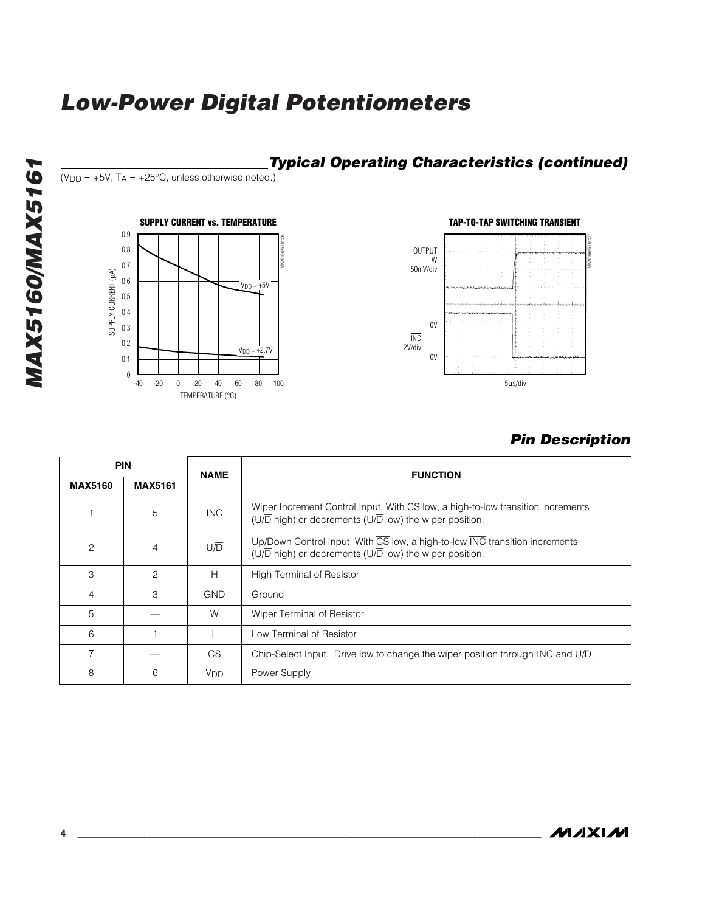

#### *Pin Description*

| <b>PIN</b>     |                | <b>NAME</b>            | <b>FUNCTION</b>                                                                                                                                                       |  |
|----------------|----------------|------------------------|-----------------------------------------------------------------------------------------------------------------------------------------------------------------------|--|
| <b>MAX5160</b> | <b>MAX5161</b> |                        |                                                                                                                                                                       |  |
|                | 5              | <b>INC</b>             | Wiper Increment Control Input. With CS low, a high-to-low transition increments<br>( $U/\overline{D}$ high) or decrements ( $U/\overline{D}$ low) the wiper position. |  |
| 2              | 4              | U/D                    | Up/Down Control Input. With CS low, a high-to-low INC transition increments<br>$(U/\overline{D}$ high) or decrements (U $/\overline{D}$ low) the wiper position.      |  |
| 3              | $\mathcal{P}$  | H                      | High Terminal of Resistor                                                                                                                                             |  |
| 4              | 3              | <b>GND</b>             | Ground                                                                                                                                                                |  |
| 5              |                | W                      | Wiper Terminal of Resistor                                                                                                                                            |  |
| 6              |                |                        | Low Terminal of Resistor                                                                                                                                              |  |
| 7              |                | $\overline{\text{CS}}$ | Chip-Select Input. Drive low to change the wiper position through INC and U/D.                                                                                        |  |
| 8              | 6              | <b>V<sub>DD</sub></b>  | Power Supply                                                                                                                                                          |  |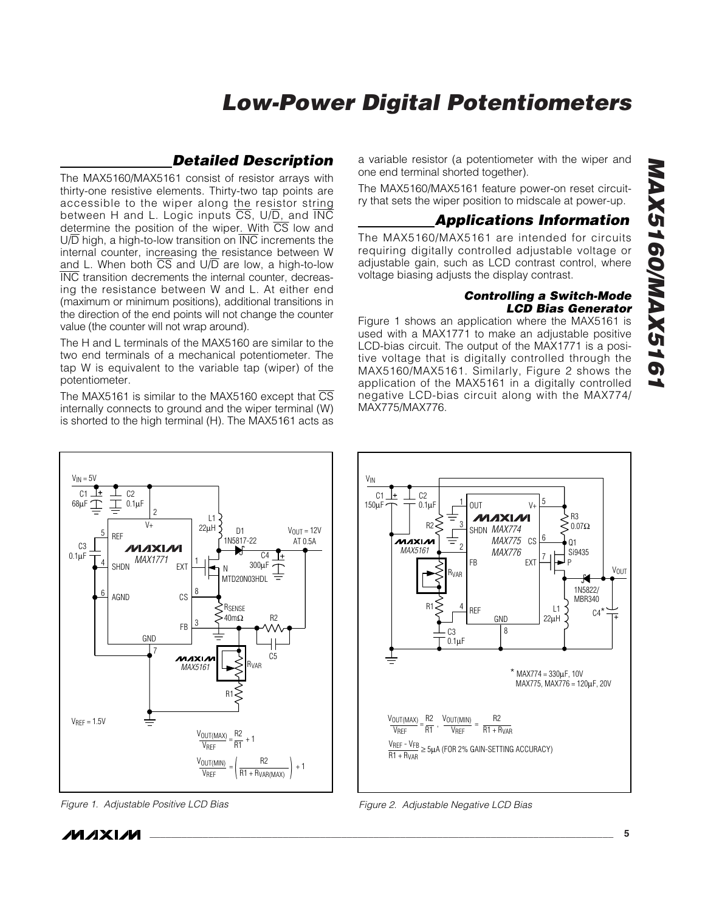#### *Detailed Description*

The MAX5160/MAX5161 consist of resistor arrays with thirty-one resistive elements. Thirty-two tap points are accessible to the wiper along the resistor string between H and L. Logic inputs  $\overline{CS}$ , U/ $\overline{D}$ , and  $\overline{INC}$ determine the position of the wiper. With  $\overline{CS}$  low and  $U/\overline{D}$  high, a high-to-low transition on  $\overline{INC}$  increments the internal counter, increasing the resistance between W and L. When both  $\overline{CS}$  and  $U/D$  are low, a high-to-low INC transition decrements the internal counter, decreasing the resistance between W and L. At either end (maximum or minimum positions), additional transitions in the direction of the end points will not change the counter value (the counter will not wrap around).

The H and L terminals of the MAX5160 are similar to the two end terminals of a mechanical potentiometer. The tap W is equivalent to the variable tap (wiper) of the potentiometer.

The MAX5161 is similar to the MAX5160 except that  $\overline{\text{CS}}$ internally connects to ground and the wiper terminal (W) is shorted to the high terminal (H). The MAX5161 acts as

a variable resistor (a potentiometer with the wiper and one end terminal shorted together).

The MAX5160/MAX5161 feature power-on reset circuitry that sets the wiper position to midscale at power-up.

#### *Applications Information*

The MAX5160/MAX5161 are intended for circuits requiring digitally controlled adjustable voltage or adjustable gain, such as LCD contrast control, where voltage biasing adjusts the display contrast.

#### *Controlling a Switch-Mode LCD Bias Generator*

Figure 1 shows an application where the MAX5161 is used with a MAX1771 to make an adjustable positive LCD-bias circuit. The output of the MAX1771 is a positive voltage that is digitally controlled through the MAX5160/MAX5161. Similarly, Figure 2 shows the application of the MAX5161 in a digitally controlled negative LCD-bias circuit along with the MAX774/ MAX775/MAX776.



*Figure 1. Adjustable Positive LCD Bias*



*Figure 2. Adjustable Negative LCD Bias*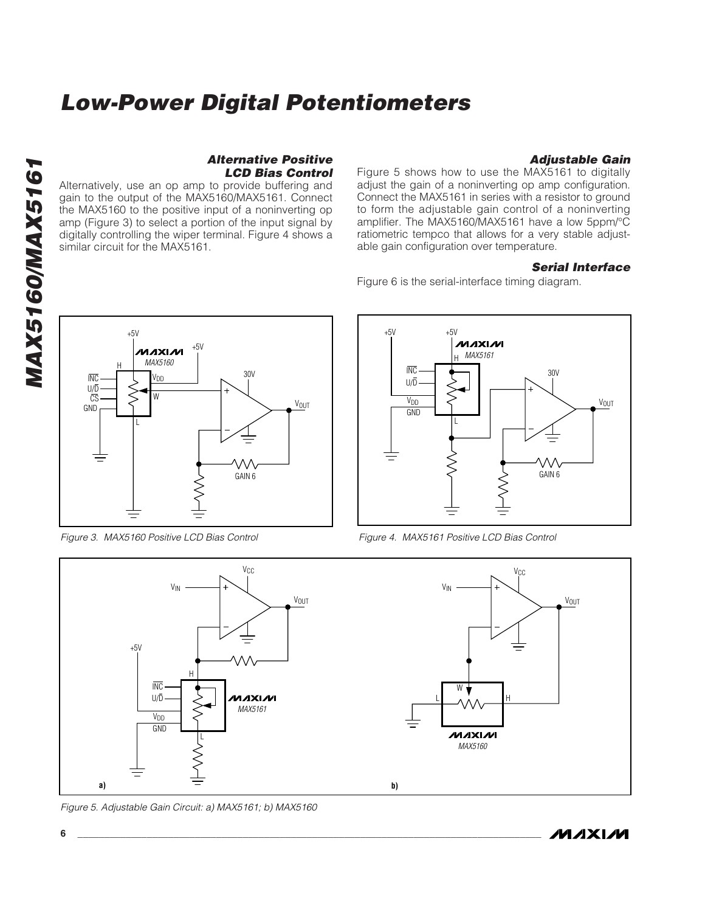*Alternative Positive LCD Bias Control*

#### *Adjustable Gain*

Figure 5 shows how to use the MAX5161 to digitally adjust the gain of a noninverting op amp configuration. Connect the MAX5161 in series with a resistor to ground to form the adjustable gain control of a noninverting amplifier. The MAX5160/MAX5161 have a low 5ppm/°C ratiometric tempco that allows for a very stable adjustable gain configuration over temperature.

#### *Serial Interface*

Figure 6 is the serial-interface timing diagram.



Alternatively, use an op amp to provide buffering and gain to the output of the MAX5160/MAX5161. Connect the MAX5160 to the positive input of a noninverting op amp (Figure 3) to select a portion of the input signal by digitally controlling the wiper terminal. Figure 4 shows a

similar circuit for the MAX5161.

*Figure 3. MAX5160 Positive LCD Bias Control*



*Figure 4. MAX5161 Positive LCD Bias Control*



*Figure 5. Adjustable Gain Circuit: a) MAX5161; b) MAX5160*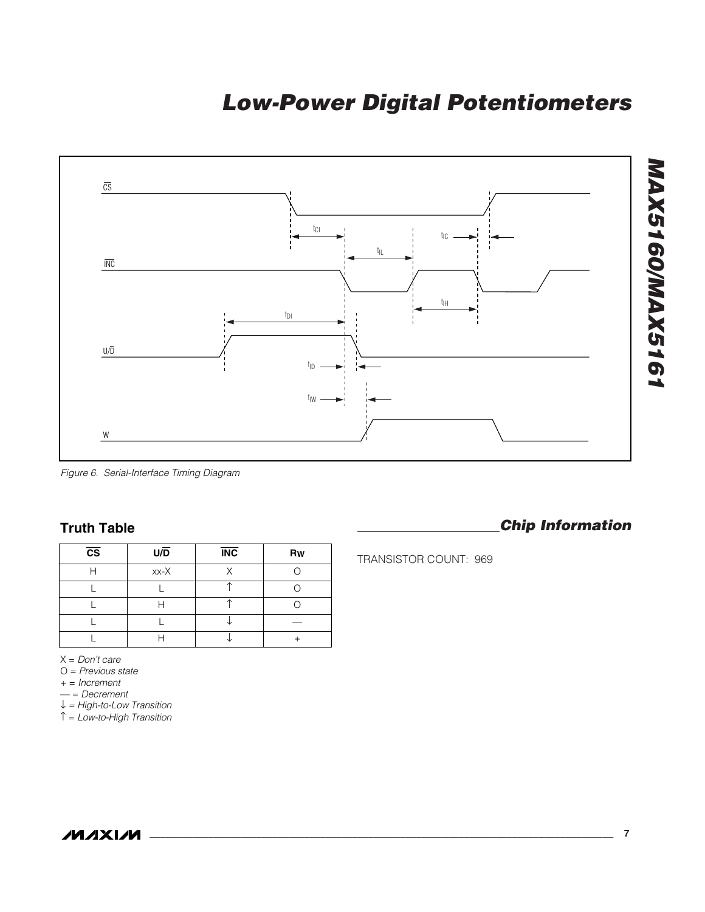

*Figure 6. Serial-Interface Timing Diagram*

#### **Truth Table**

| $\overline{\text{cs}}$ | U/D    | <b>INC</b> | Rw |
|------------------------|--------|------------|----|
|                        | $xx-X$ | ν          |    |
|                        |        |            |    |
|                        |        |            |    |
|                        |        |            |    |
|                        |        |            |    |

X = *Don't care*

O = *Previous state*

+ = *Increment*

— = *Decrement*

↓ *= High-to-Low Transition*

↑ = *Low-to-High Transition*

#### *Chip Information*

TRANSISTOR COUNT: 969

**MAXIM**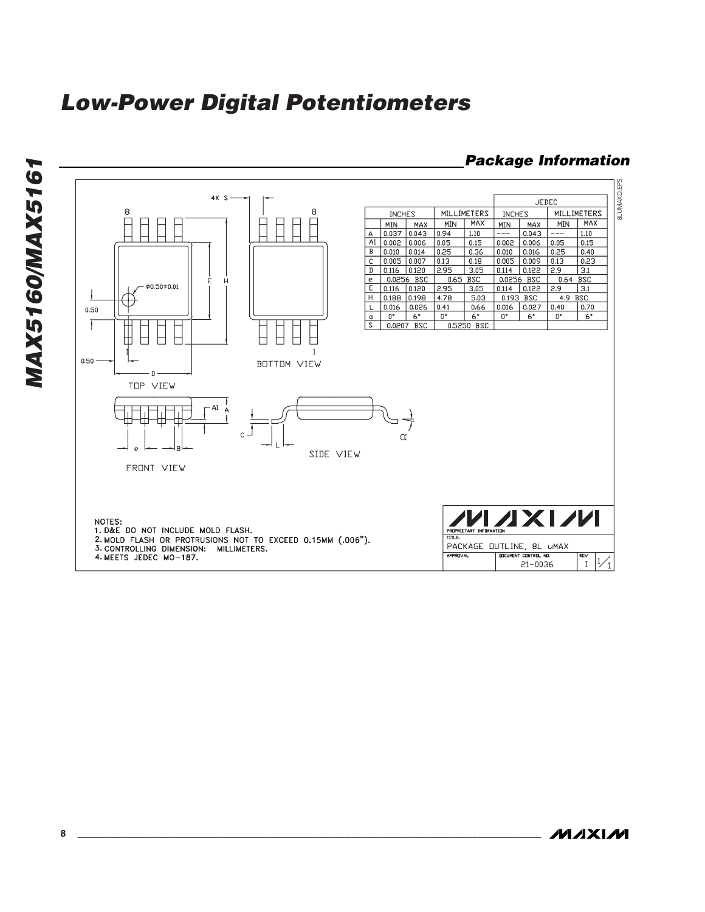

#### *Package Information*